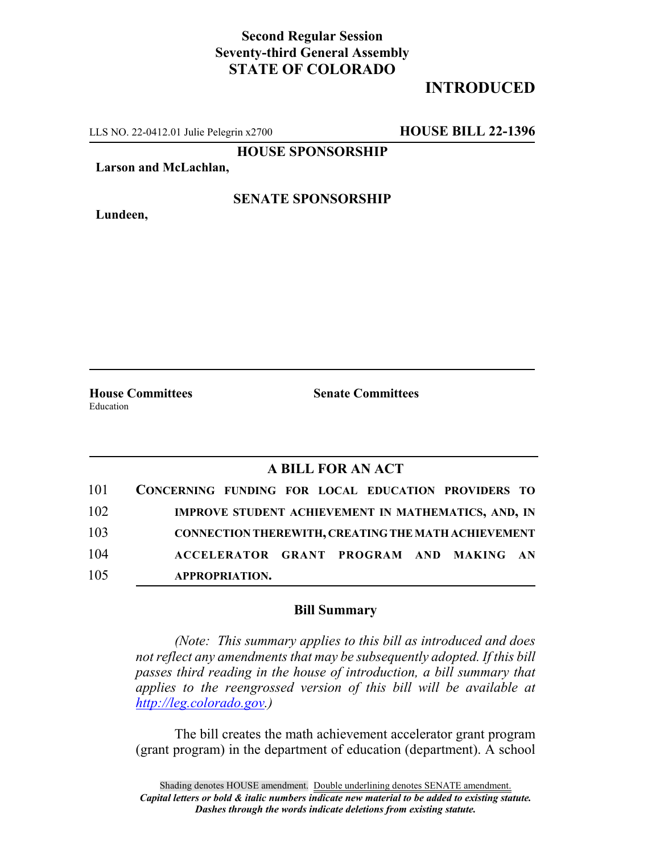## **Second Regular Session Seventy-third General Assembly STATE OF COLORADO**

# **INTRODUCED**

LLS NO. 22-0412.01 Julie Pelegrin x2700 **HOUSE BILL 22-1396**

**HOUSE SPONSORSHIP**

**Larson and McLachlan,**

**Lundeen,**

**SENATE SPONSORSHIP**

Education

**House Committees Senate Committees**

### **A BILL FOR AN ACT**

| 101 | CONCERNING FUNDING FOR LOCAL EDUCATION PROVIDERS TO |
|-----|-----------------------------------------------------|
| 102 | IMPROVE STUDENT ACHIEVEMENT IN MATHEMATICS, AND, IN |
| 103 | CONNECTION THEREWITH, CREATING THE MATH ACHIEVEMENT |
| 104 | ACCELERATOR GRANT PROGRAM AND MAKING AN             |
| 105 | <b>APPROPRIATION.</b>                               |

#### **Bill Summary**

*(Note: This summary applies to this bill as introduced and does not reflect any amendments that may be subsequently adopted. If this bill passes third reading in the house of introduction, a bill summary that applies to the reengrossed version of this bill will be available at http://leg.colorado.gov.)*

The bill creates the math achievement accelerator grant program (grant program) in the department of education (department). A school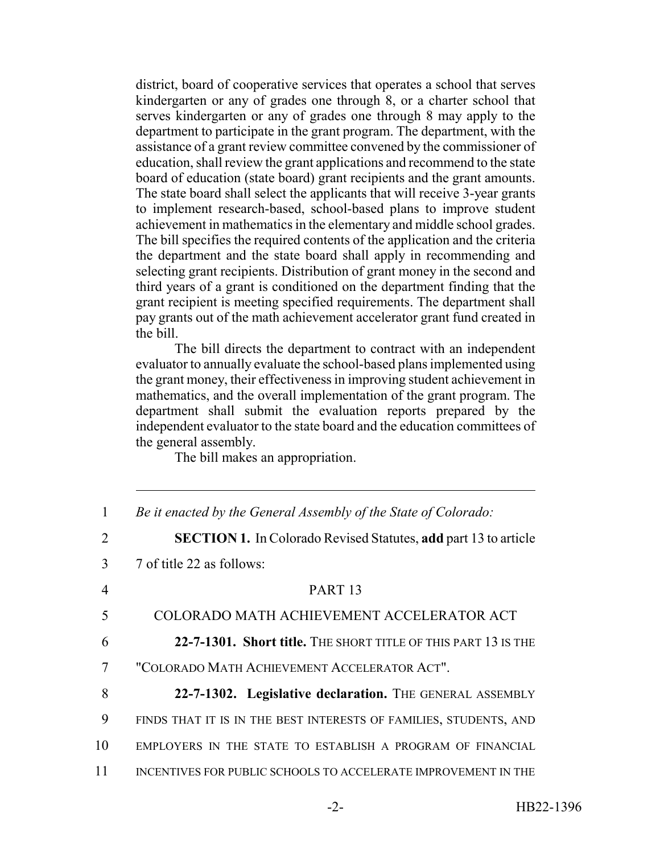district, board of cooperative services that operates a school that serves kindergarten or any of grades one through 8, or a charter school that serves kindergarten or any of grades one through 8 may apply to the department to participate in the grant program. The department, with the assistance of a grant review committee convened by the commissioner of education, shall review the grant applications and recommend to the state board of education (state board) grant recipients and the grant amounts. The state board shall select the applicants that will receive 3-year grants to implement research-based, school-based plans to improve student achievement in mathematics in the elementary and middle school grades. The bill specifies the required contents of the application and the criteria the department and the state board shall apply in recommending and selecting grant recipients. Distribution of grant money in the second and third years of a grant is conditioned on the department finding that the grant recipient is meeting specified requirements. The department shall pay grants out of the math achievement accelerator grant fund created in the bill.

The bill directs the department to contract with an independent evaluator to annually evaluate the school-based plans implemented using the grant money, their effectiveness in improving student achievement in mathematics, and the overall implementation of the grant program. The department shall submit the evaluation reports prepared by the independent evaluator to the state board and the education committees of the general assembly.

The bill makes an appropriation.

| 1             | Be it enacted by the General Assembly of the State of Colorado:        |
|---------------|------------------------------------------------------------------------|
| $\mathcal{L}$ | <b>SECTION 1.</b> In Colorado Revised Statutes, add part 13 to article |
| 3             | 7 of title 22 as follows:                                              |
| 4             | PART <sub>13</sub>                                                     |
| 5             | COLORADO MATH ACHIEVEMENT ACCELERATOR ACT                              |
| 6             | 22-7-1301. Short title. THE SHORT TITLE OF THIS PART 13 IS THE         |
| 7             | "COLORADO MATH ACHIEVEMENT ACCELERATOR ACT".                           |
| 8             | 22-7-1302. Legislative declaration. THE GENERAL ASSEMBLY               |
| 9             | FINDS THAT IT IS IN THE BEST INTERESTS OF FAMILIES, STUDENTS, AND      |
| 10            | EMPLOYERS IN THE STATE TO ESTABLISH A PROGRAM OF FINANCIAL             |
| 11            | INCENTIVES FOR PUBLIC SCHOOLS TO ACCELERATE IMPROVEMENT IN THE         |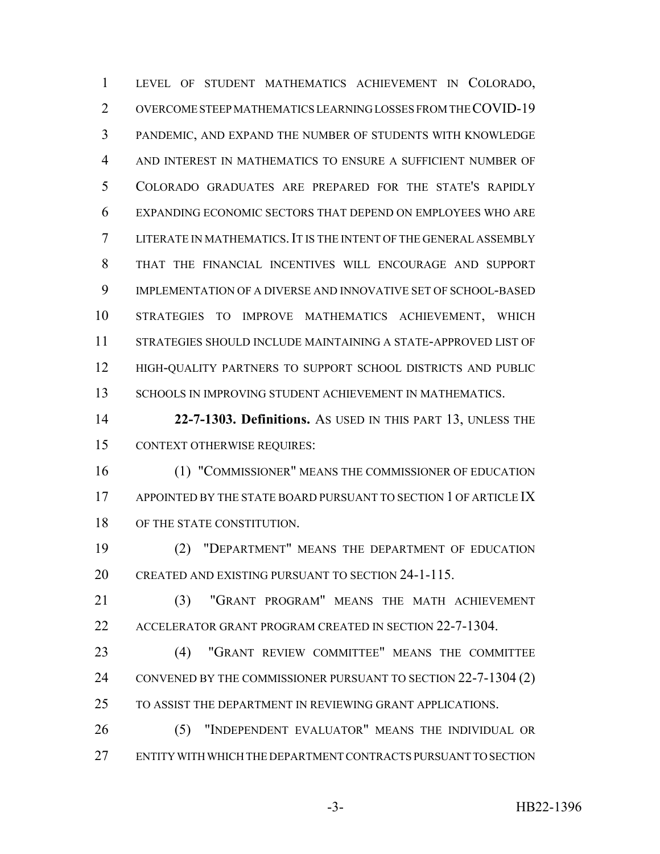LEVEL OF STUDENT MATHEMATICS ACHIEVEMENT IN COLORADO, OVERCOME STEEP MATHEMATICS LEARNING LOSSES FROM THE COVID-19 PANDEMIC, AND EXPAND THE NUMBER OF STUDENTS WITH KNOWLEDGE AND INTEREST IN MATHEMATICS TO ENSURE A SUFFICIENT NUMBER OF COLORADO GRADUATES ARE PREPARED FOR THE STATE'S RAPIDLY EXPANDING ECONOMIC SECTORS THAT DEPEND ON EMPLOYEES WHO ARE LITERATE IN MATHEMATICS.IT IS THE INTENT OF THE GENERAL ASSEMBLY THAT THE FINANCIAL INCENTIVES WILL ENCOURAGE AND SUPPORT IMPLEMENTATION OF A DIVERSE AND INNOVATIVE SET OF SCHOOL-BASED STRATEGIES TO IMPROVE MATHEMATICS ACHIEVEMENT, WHICH STRATEGIES SHOULD INCLUDE MAINTAINING A STATE-APPROVED LIST OF HIGH-QUALITY PARTNERS TO SUPPORT SCHOOL DISTRICTS AND PUBLIC 13 SCHOOLS IN IMPROVING STUDENT ACHIEVEMENT IN MATHEMATICS.

 **22-7-1303. Definitions.** AS USED IN THIS PART 13, UNLESS THE CONTEXT OTHERWISE REQUIRES:

 (1) "COMMISSIONER" MEANS THE COMMISSIONER OF EDUCATION 17 APPOINTED BY THE STATE BOARD PURSUANT TO SECTION 1 OF ARTICLE IX 18 OF THE STATE CONSTITUTION.

 (2) "DEPARTMENT" MEANS THE DEPARTMENT OF EDUCATION CREATED AND EXISTING PURSUANT TO SECTION 24-1-115.

 (3) "GRANT PROGRAM" MEANS THE MATH ACHIEVEMENT ACCELERATOR GRANT PROGRAM CREATED IN SECTION 22-7-1304.

 (4) "GRANT REVIEW COMMITTEE" MEANS THE COMMITTEE CONVENED BY THE COMMISSIONER PURSUANT TO SECTION 22-7-1304 (2) TO ASSIST THE DEPARTMENT IN REVIEWING GRANT APPLICATIONS.

 (5) "INDEPENDENT EVALUATOR" MEANS THE INDIVIDUAL OR ENTITY WITH WHICH THE DEPARTMENT CONTRACTS PURSUANT TO SECTION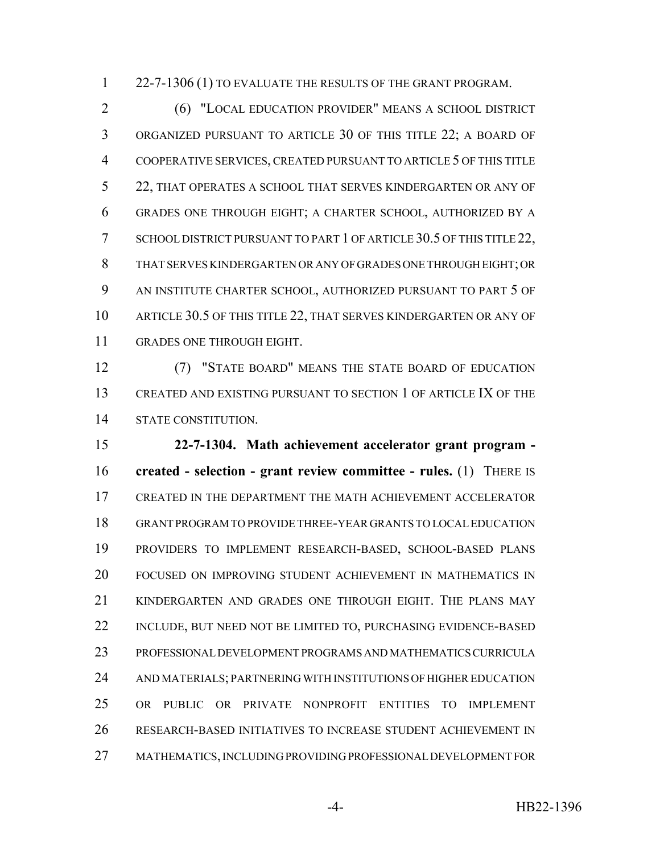1 22-7-1306 (1) TO EVALUATE THE RESULTS OF THE GRANT PROGRAM.

 (6) "LOCAL EDUCATION PROVIDER" MEANS A SCHOOL DISTRICT ORGANIZED PURSUANT TO ARTICLE 30 OF THIS TITLE 22; A BOARD OF COOPERATIVE SERVICES, CREATED PURSUANT TO ARTICLE 5 OF THIS TITLE 22, THAT OPERATES A SCHOOL THAT SERVES KINDERGARTEN OR ANY OF GRADES ONE THROUGH EIGHT; A CHARTER SCHOOL, AUTHORIZED BY A 7 SCHOOL DISTRICT PURSUANT TO PART 1 OF ARTICLE 30.5 OF THIS TITLE 22, THAT SERVES KINDERGARTEN OR ANY OF GRADES ONE THROUGH EIGHT; OR AN INSTITUTE CHARTER SCHOOL, AUTHORIZED PURSUANT TO PART 5 OF 10 ARTICLE 30.5 OF THIS TITLE 22, THAT SERVES KINDERGARTEN OR ANY OF GRADES ONE THROUGH EIGHT.

 (7) "STATE BOARD" MEANS THE STATE BOARD OF EDUCATION CREATED AND EXISTING PURSUANT TO SECTION 1 OF ARTICLE IX OF THE STATE CONSTITUTION.

 **22-7-1304. Math achievement accelerator grant program - created - selection - grant review committee - rules.** (1) THERE IS CREATED IN THE DEPARTMENT THE MATH ACHIEVEMENT ACCELERATOR GRANT PROGRAM TO PROVIDE THREE-YEAR GRANTS TO LOCAL EDUCATION PROVIDERS TO IMPLEMENT RESEARCH-BASED, SCHOOL-BASED PLANS FOCUSED ON IMPROVING STUDENT ACHIEVEMENT IN MATHEMATICS IN KINDERGARTEN AND GRADES ONE THROUGH EIGHT. THE PLANS MAY INCLUDE, BUT NEED NOT BE LIMITED TO, PURCHASING EVIDENCE-BASED PROFESSIONAL DEVELOPMENT PROGRAMS AND MATHEMATICS CURRICULA AND MATERIALS; PARTNERING WITH INSTITUTIONS OF HIGHER EDUCATION OR PUBLIC OR PRIVATE NONPROFIT ENTITIES TO IMPLEMENT RESEARCH-BASED INITIATIVES TO INCREASE STUDENT ACHIEVEMENT IN MATHEMATICS, INCLUDING PROVIDING PROFESSIONAL DEVELOPMENT FOR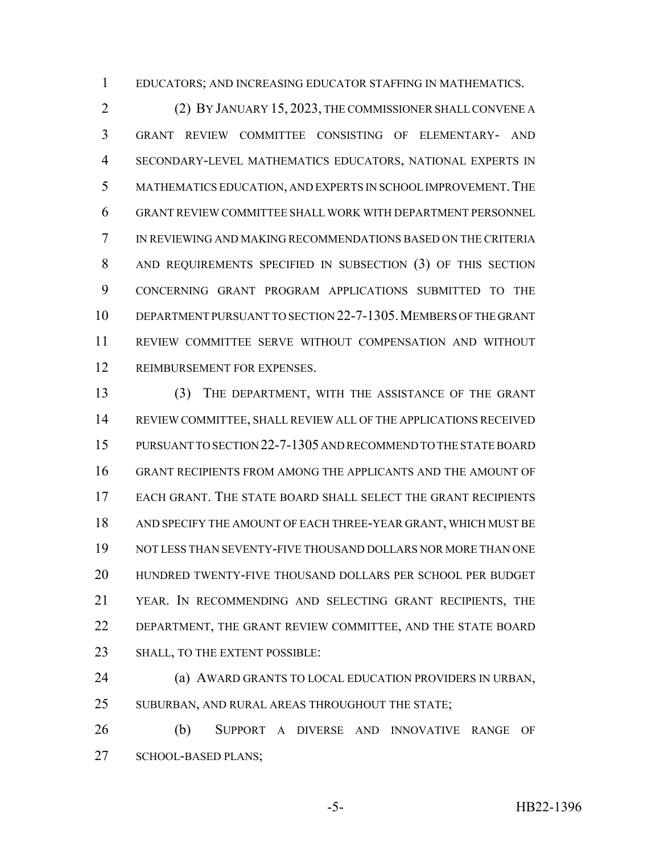EDUCATORS; AND INCREASING EDUCATOR STAFFING IN MATHEMATICS.

 (2) BY JANUARY 15, 2023, THE COMMISSIONER SHALL CONVENE A GRANT REVIEW COMMITTEE CONSISTING OF ELEMENTARY- AND SECONDARY-LEVEL MATHEMATICS EDUCATORS, NATIONAL EXPERTS IN MATHEMATICS EDUCATION, AND EXPERTS IN SCHOOL IMPROVEMENT.THE GRANT REVIEW COMMITTEE SHALL WORK WITH DEPARTMENT PERSONNEL IN REVIEWING AND MAKING RECOMMENDATIONS BASED ON THE CRITERIA AND REQUIREMENTS SPECIFIED IN SUBSECTION (3) OF THIS SECTION CONCERNING GRANT PROGRAM APPLICATIONS SUBMITTED TO THE DEPARTMENT PURSUANT TO SECTION 22-7-1305.MEMBERS OF THE GRANT REVIEW COMMITTEE SERVE WITHOUT COMPENSATION AND WITHOUT REIMBURSEMENT FOR EXPENSES.

 (3) THE DEPARTMENT, WITH THE ASSISTANCE OF THE GRANT REVIEW COMMITTEE, SHALL REVIEW ALL OF THE APPLICATIONS RECEIVED PURSUANT TO SECTION 22-7-1305 AND RECOMMEND TO THE STATE BOARD GRANT RECIPIENTS FROM AMONG THE APPLICANTS AND THE AMOUNT OF EACH GRANT. THE STATE BOARD SHALL SELECT THE GRANT RECIPIENTS AND SPECIFY THE AMOUNT OF EACH THREE-YEAR GRANT, WHICH MUST BE NOT LESS THAN SEVENTY-FIVE THOUSAND DOLLARS NOR MORE THAN ONE HUNDRED TWENTY-FIVE THOUSAND DOLLARS PER SCHOOL PER BUDGET YEAR. IN RECOMMENDING AND SELECTING GRANT RECIPIENTS, THE 22 DEPARTMENT, THE GRANT REVIEW COMMITTEE, AND THE STATE BOARD 23 SHALL, TO THE EXTENT POSSIBLE:

 (a) AWARD GRANTS TO LOCAL EDUCATION PROVIDERS IN URBAN, 25 SUBURBAN, AND RURAL AREAS THROUGHOUT THE STATE;

 (b) SUPPORT A DIVERSE AND INNOVATIVE RANGE OF SCHOOL-BASED PLANS;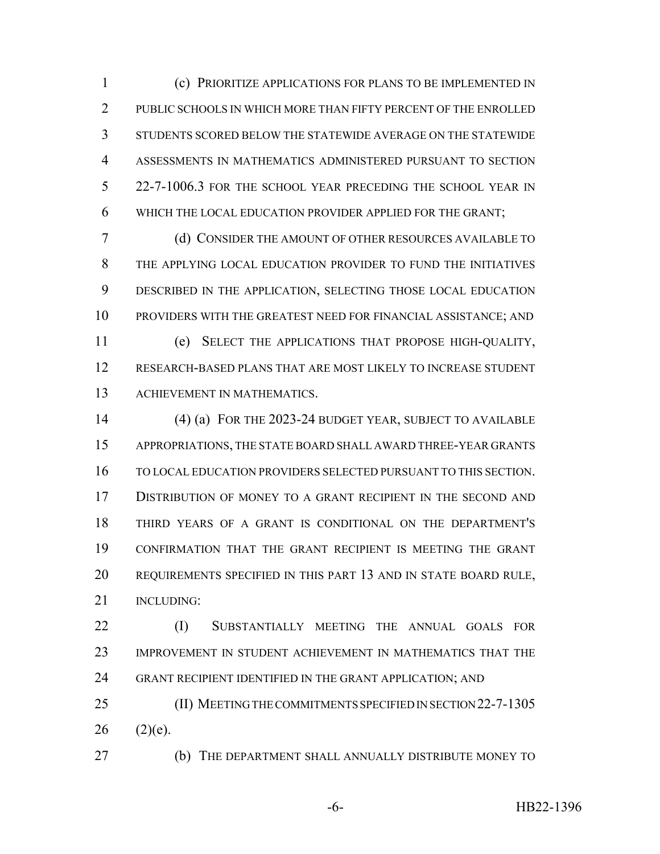(c) PRIORITIZE APPLICATIONS FOR PLANS TO BE IMPLEMENTED IN 2 PUBLIC SCHOOLS IN WHICH MORE THAN FIFTY PERCENT OF THE ENROLLED STUDENTS SCORED BELOW THE STATEWIDE AVERAGE ON THE STATEWIDE ASSESSMENTS IN MATHEMATICS ADMINISTERED PURSUANT TO SECTION 22-7-1006.3 FOR THE SCHOOL YEAR PRECEDING THE SCHOOL YEAR IN WHICH THE LOCAL EDUCATION PROVIDER APPLIED FOR THE GRANT;

 (d) CONSIDER THE AMOUNT OF OTHER RESOURCES AVAILABLE TO THE APPLYING LOCAL EDUCATION PROVIDER TO FUND THE INITIATIVES DESCRIBED IN THE APPLICATION, SELECTING THOSE LOCAL EDUCATION PROVIDERS WITH THE GREATEST NEED FOR FINANCIAL ASSISTANCE; AND (e) SELECT THE APPLICATIONS THAT PROPOSE HIGH-QUALITY,

 RESEARCH-BASED PLANS THAT ARE MOST LIKELY TO INCREASE STUDENT ACHIEVEMENT IN MATHEMATICS.

 (4) (a) FOR THE 2023-24 BUDGET YEAR, SUBJECT TO AVAILABLE APPROPRIATIONS, THE STATE BOARD SHALL AWARD THREE-YEAR GRANTS TO LOCAL EDUCATION PROVIDERS SELECTED PURSUANT TO THIS SECTION. DISTRIBUTION OF MONEY TO A GRANT RECIPIENT IN THE SECOND AND THIRD YEARS OF A GRANT IS CONDITIONAL ON THE DEPARTMENT'S CONFIRMATION THAT THE GRANT RECIPIENT IS MEETING THE GRANT REQUIREMENTS SPECIFIED IN THIS PART 13 AND IN STATE BOARD RULE, 21 INCLUDING:

 (I) SUBSTANTIALLY MEETING THE ANNUAL GOALS FOR IMPROVEMENT IN STUDENT ACHIEVEMENT IN MATHEMATICS THAT THE GRANT RECIPIENT IDENTIFIED IN THE GRANT APPLICATION; AND

 (II) MEETING THE COMMITMENTS SPECIFIED IN SECTION 22-7-1305 (2)(e).

(b) THE DEPARTMENT SHALL ANNUALLY DISTRIBUTE MONEY TO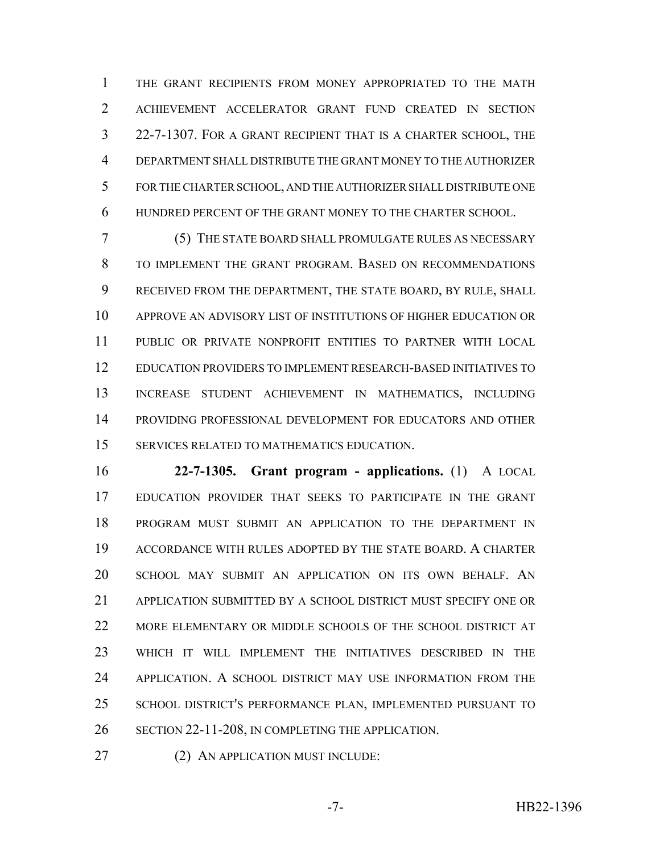THE GRANT RECIPIENTS FROM MONEY APPROPRIATED TO THE MATH ACHIEVEMENT ACCELERATOR GRANT FUND CREATED IN SECTION 22-7-1307. FOR A GRANT RECIPIENT THAT IS A CHARTER SCHOOL, THE DEPARTMENT SHALL DISTRIBUTE THE GRANT MONEY TO THE AUTHORIZER FOR THE CHARTER SCHOOL, AND THE AUTHORIZER SHALL DISTRIBUTE ONE HUNDRED PERCENT OF THE GRANT MONEY TO THE CHARTER SCHOOL.

 (5) THE STATE BOARD SHALL PROMULGATE RULES AS NECESSARY TO IMPLEMENT THE GRANT PROGRAM. BASED ON RECOMMENDATIONS RECEIVED FROM THE DEPARTMENT, THE STATE BOARD, BY RULE, SHALL APPROVE AN ADVISORY LIST OF INSTITUTIONS OF HIGHER EDUCATION OR PUBLIC OR PRIVATE NONPROFIT ENTITIES TO PARTNER WITH LOCAL EDUCATION PROVIDERS TO IMPLEMENT RESEARCH-BASED INITIATIVES TO INCREASE STUDENT ACHIEVEMENT IN MATHEMATICS, INCLUDING PROVIDING PROFESSIONAL DEVELOPMENT FOR EDUCATORS AND OTHER SERVICES RELATED TO MATHEMATICS EDUCATION.

 **22-7-1305. Grant program - applications.** (1) A LOCAL EDUCATION PROVIDER THAT SEEKS TO PARTICIPATE IN THE GRANT PROGRAM MUST SUBMIT AN APPLICATION TO THE DEPARTMENT IN ACCORDANCE WITH RULES ADOPTED BY THE STATE BOARD. A CHARTER SCHOOL MAY SUBMIT AN APPLICATION ON ITS OWN BEHALF. AN APPLICATION SUBMITTED BY A SCHOOL DISTRICT MUST SPECIFY ONE OR MORE ELEMENTARY OR MIDDLE SCHOOLS OF THE SCHOOL DISTRICT AT WHICH IT WILL IMPLEMENT THE INITIATIVES DESCRIBED IN THE APPLICATION. A SCHOOL DISTRICT MAY USE INFORMATION FROM THE SCHOOL DISTRICT'S PERFORMANCE PLAN, IMPLEMENTED PURSUANT TO SECTION 22-11-208, IN COMPLETING THE APPLICATION.

(2) AN APPLICATION MUST INCLUDE: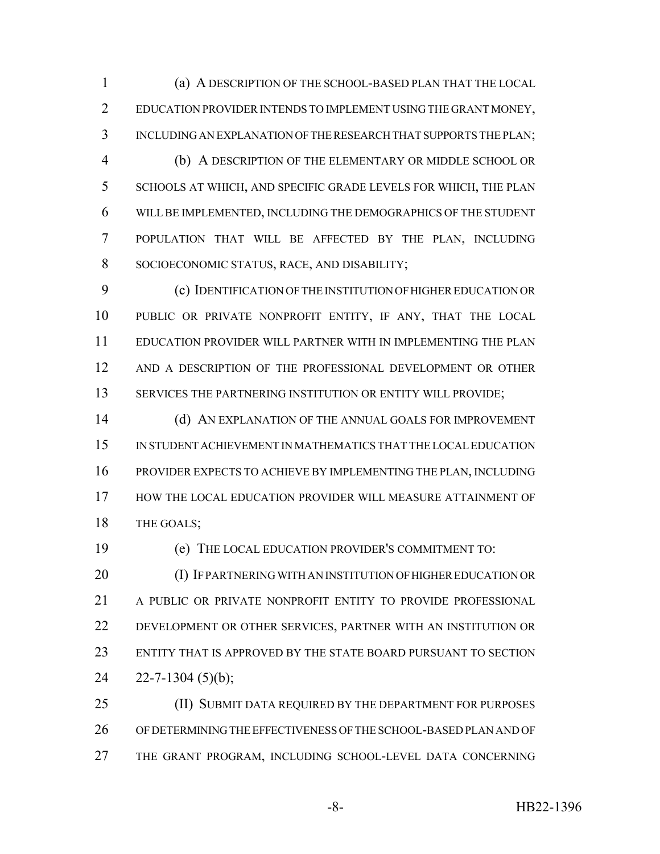(a) A DESCRIPTION OF THE SCHOOL-BASED PLAN THAT THE LOCAL EDUCATION PROVIDER INTENDS TO IMPLEMENT USING THE GRANT MONEY, INCLUDING AN EXPLANATION OF THE RESEARCH THAT SUPPORTS THE PLAN;

 (b) A DESCRIPTION OF THE ELEMENTARY OR MIDDLE SCHOOL OR SCHOOLS AT WHICH, AND SPECIFIC GRADE LEVELS FOR WHICH, THE PLAN WILL BE IMPLEMENTED, INCLUDING THE DEMOGRAPHICS OF THE STUDENT POPULATION THAT WILL BE AFFECTED BY THE PLAN, INCLUDING SOCIOECONOMIC STATUS, RACE, AND DISABILITY;

 (c) IDENTIFICATION OF THE INSTITUTION OF HIGHER EDUCATION OR PUBLIC OR PRIVATE NONPROFIT ENTITY, IF ANY, THAT THE LOCAL EDUCATION PROVIDER WILL PARTNER WITH IN IMPLEMENTING THE PLAN AND A DESCRIPTION OF THE PROFESSIONAL DEVELOPMENT OR OTHER 13 SERVICES THE PARTNERING INSTITUTION OR ENTITY WILL PROVIDE;

14 (d) AN EXPLANATION OF THE ANNUAL GOALS FOR IMPROVEMENT IN STUDENT ACHIEVEMENT IN MATHEMATICS THAT THE LOCAL EDUCATION PROVIDER EXPECTS TO ACHIEVE BY IMPLEMENTING THE PLAN, INCLUDING HOW THE LOCAL EDUCATION PROVIDER WILL MEASURE ATTAINMENT OF 18 THE GOALS:

 (e) THE LOCAL EDUCATION PROVIDER'S COMMITMENT TO: (I) IF PARTNERING WITH AN INSTITUTION OF HIGHER EDUCATION OR A PUBLIC OR PRIVATE NONPROFIT ENTITY TO PROVIDE PROFESSIONAL DEVELOPMENT OR OTHER SERVICES, PARTNER WITH AN INSTITUTION OR ENTITY THAT IS APPROVED BY THE STATE BOARD PURSUANT TO SECTION  $24 \quad 22 - 7 - 1304 \quad (5)(b);$ 

25 (II) SUBMIT DATA REQUIRED BY THE DEPARTMENT FOR PURPOSES OF DETERMINING THE EFFECTIVENESS OF THE SCHOOL-BASED PLAN AND OF THE GRANT PROGRAM, INCLUDING SCHOOL-LEVEL DATA CONCERNING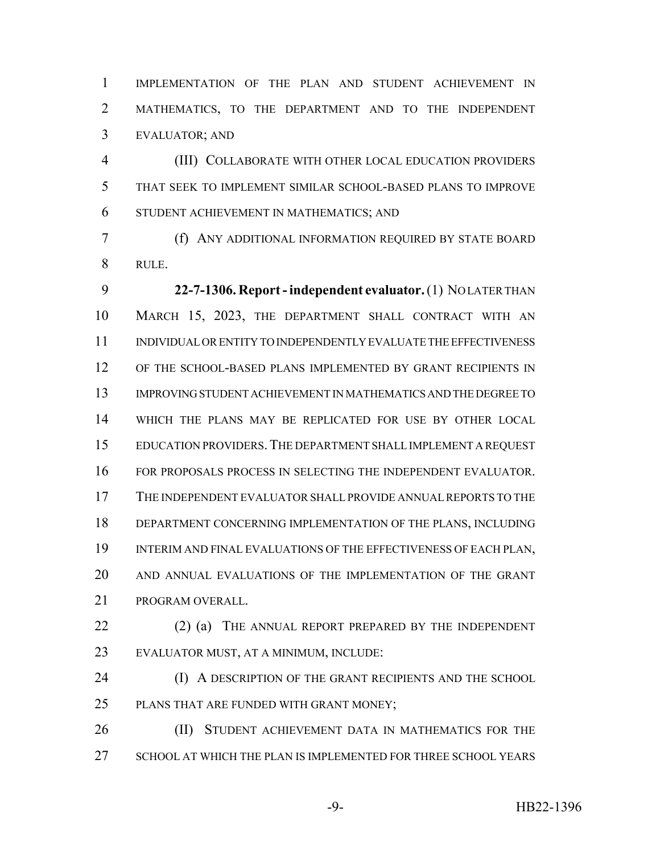IMPLEMENTATION OF THE PLAN AND STUDENT ACHIEVEMENT IN MATHEMATICS, TO THE DEPARTMENT AND TO THE INDEPENDENT EVALUATOR; AND

 (III) COLLABORATE WITH OTHER LOCAL EDUCATION PROVIDERS THAT SEEK TO IMPLEMENT SIMILAR SCHOOL-BASED PLANS TO IMPROVE STUDENT ACHIEVEMENT IN MATHEMATICS; AND

 (f) ANY ADDITIONAL INFORMATION REQUIRED BY STATE BOARD RULE.

 **22-7-1306. Report - independent evaluator.** (1) NO LATER THAN MARCH 15, 2023, THE DEPARTMENT SHALL CONTRACT WITH AN INDIVIDUAL OR ENTITY TO INDEPENDENTLY EVALUATE THE EFFECTIVENESS OF THE SCHOOL-BASED PLANS IMPLEMENTED BY GRANT RECIPIENTS IN IMPROVING STUDENT ACHIEVEMENT IN MATHEMATICS AND THE DEGREE TO WHICH THE PLANS MAY BE REPLICATED FOR USE BY OTHER LOCAL EDUCATION PROVIDERS.THE DEPARTMENT SHALL IMPLEMENT A REQUEST FOR PROPOSALS PROCESS IN SELECTING THE INDEPENDENT EVALUATOR. THE INDEPENDENT EVALUATOR SHALL PROVIDE ANNUAL REPORTS TO THE DEPARTMENT CONCERNING IMPLEMENTATION OF THE PLANS, INCLUDING INTERIM AND FINAL EVALUATIONS OF THE EFFECTIVENESS OF EACH PLAN, AND ANNUAL EVALUATIONS OF THE IMPLEMENTATION OF THE GRANT PROGRAM OVERALL.

22 (2) (a) THE ANNUAL REPORT PREPARED BY THE INDEPENDENT EVALUATOR MUST, AT A MINIMUM, INCLUDE:

24 (I) A DESCRIPTION OF THE GRANT RECIPIENTS AND THE SCHOOL 25 PLANS THAT ARE FUNDED WITH GRANT MONEY;

**(II) STUDENT ACHIEVEMENT DATA IN MATHEMATICS FOR THE** 27 SCHOOL AT WHICH THE PLAN IS IMPLEMENTED FOR THREE SCHOOL YEARS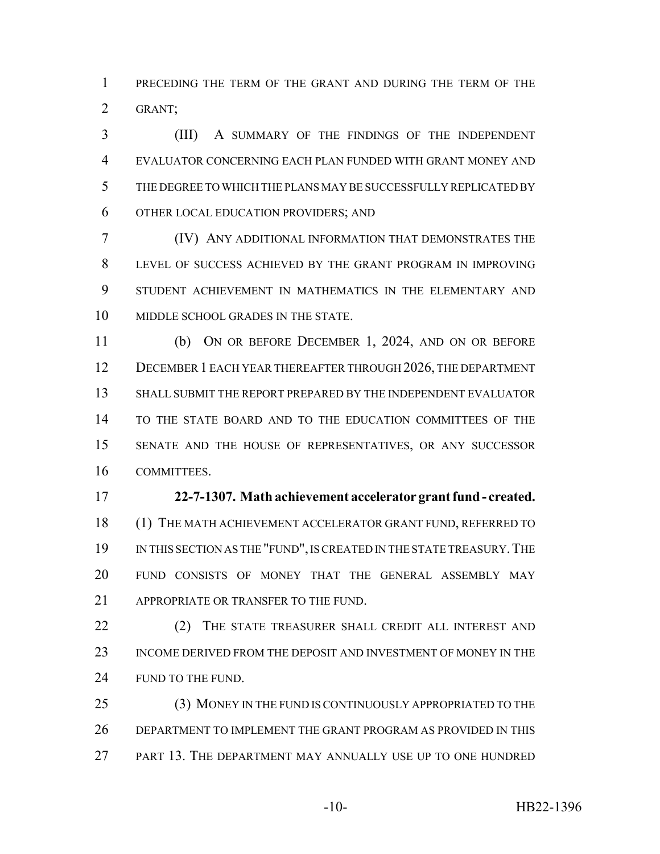PRECEDING THE TERM OF THE GRANT AND DURING THE TERM OF THE GRANT;

 (III) A SUMMARY OF THE FINDINGS OF THE INDEPENDENT EVALUATOR CONCERNING EACH PLAN FUNDED WITH GRANT MONEY AND THE DEGREE TO WHICH THE PLANS MAY BE SUCCESSFULLY REPLICATED BY OTHER LOCAL EDUCATION PROVIDERS; AND

 (IV) ANY ADDITIONAL INFORMATION THAT DEMONSTRATES THE LEVEL OF SUCCESS ACHIEVED BY THE GRANT PROGRAM IN IMPROVING STUDENT ACHIEVEMENT IN MATHEMATICS IN THE ELEMENTARY AND 10 MIDDLE SCHOOL GRADES IN THE STATE.

 (b) ON OR BEFORE DECEMBER 1, 2024, AND ON OR BEFORE 12 DECEMBER 1 EACH YEAR THEREAFTER THROUGH 2026, THE DEPARTMENT SHALL SUBMIT THE REPORT PREPARED BY THE INDEPENDENT EVALUATOR TO THE STATE BOARD AND TO THE EDUCATION COMMITTEES OF THE SENATE AND THE HOUSE OF REPRESENTATIVES, OR ANY SUCCESSOR COMMITTEES.

### **22-7-1307. Math achievement accelerator grant fund - created.**

 (1) THE MATH ACHIEVEMENT ACCELERATOR GRANT FUND, REFERRED TO 19 IN THIS SECTION AS THE "FUND", IS CREATED IN THE STATE TREASURY. THE FUND CONSISTS OF MONEY THAT THE GENERAL ASSEMBLY MAY 21 APPROPRIATE OR TRANSFER TO THE FUND.

22 (2) THE STATE TREASURER SHALL CREDIT ALL INTEREST AND INCOME DERIVED FROM THE DEPOSIT AND INVESTMENT OF MONEY IN THE 24 FUND TO THE FUND.

 (3) MONEY IN THE FUND IS CONTINUOUSLY APPROPRIATED TO THE DEPARTMENT TO IMPLEMENT THE GRANT PROGRAM AS PROVIDED IN THIS PART 13. THE DEPARTMENT MAY ANNUALLY USE UP TO ONE HUNDRED